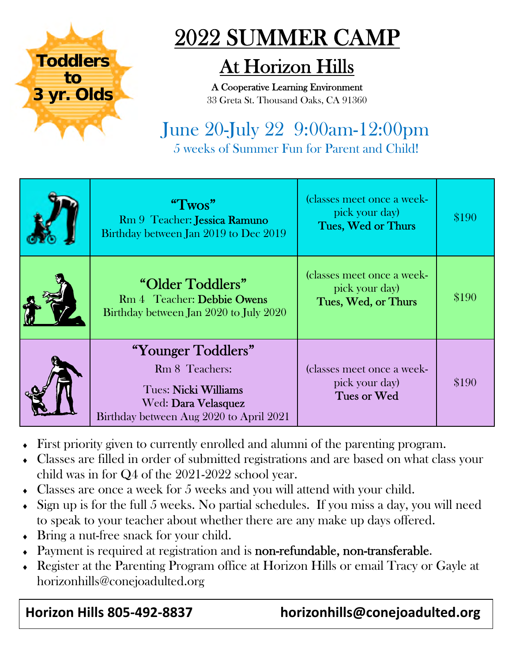

## 2022 SUMMER CAMP

## At Horizon Hills

A Cooperative Learning Environment 33 Greta St. Thousand Oaks, CA 91360

### June 20-July 22 9:00am-12:00pm 5 weeks of Summer Fun for Parent and Child!

| " $Twos"$<br>Rm 9 Teacher: Jessica Ramuno<br>Birthday between Jan 2019 to Dec 2019                                             | (classes meet once a week-<br>pick your day)<br>Tues, Wed or Thurs  | \$190 |
|--------------------------------------------------------------------------------------------------------------------------------|---------------------------------------------------------------------|-------|
| "Older Toddlers"<br>Rm 4 Teacher: Debbie Owens<br>Birthday between Jan 2020 to July 2020                                       | (classes meet once a week-<br>pick your day)<br>Tues, Wed, or Thurs | \$190 |
| "Younger Toddlers"<br>Rm 8 Teachers:<br>Tues: Nicki Williams<br>Wed: Dara Velasquez<br>Birthday between Aug 2020 to April 2021 | (classes meet once a week-<br>pick your day)<br>Tues or Wed         | \$190 |

- First priority given to currently enrolled and alumni of the parenting program.
- Classes are filled in order of submitted registrations and are based on what class your child was in for Q4 of the 2021-2022 school year.
- Classes are once a week for 5 weeks and you will attend with your child.
- $\bullet$  Sign up is for the full 5 weeks. No partial schedules. If you miss a day, you will need to speak to your teacher about whether there are any make up days offered.
- Bring a nut-free snack for your child.
- Payment is required at registration and is non-refundable, non-transferable.
- Register at the Parenting Program office at Horizon Hills or email Tracy or Gayle at horizonhills@conejoadulted.org

#### **Horizon Hills 805‐492‐8837 horizonhills@conejoadulted.org**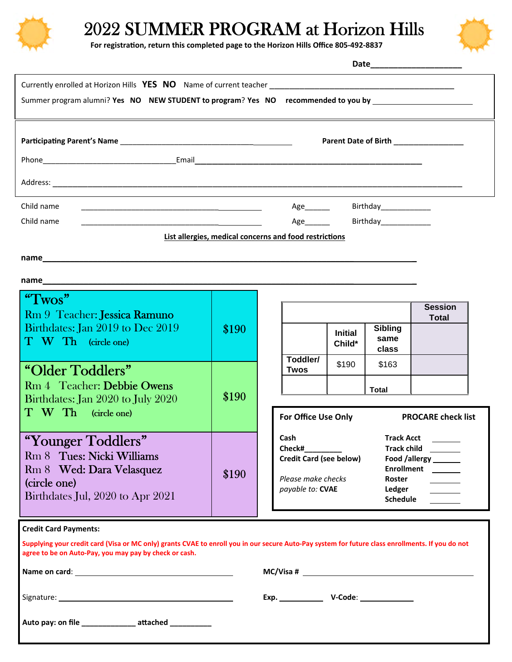

## 2022 SUMMER PROGRAM at Horizon Hills



**For registraƟon, return this completed page to the Horizon Hills Office 805‐492‐8837**

|                                                                                                                                                                                                                                                                           |       |                                                                                            |                          |                                                                                | Date________________________         |  |
|---------------------------------------------------------------------------------------------------------------------------------------------------------------------------------------------------------------------------------------------------------------------------|-------|--------------------------------------------------------------------------------------------|--------------------------|--------------------------------------------------------------------------------|--------------------------------------|--|
| Summer program alumni? Yes NO NEW STUDENT to program? Yes NO recommended to you by ________________                                                                                                                                                                       |       |                                                                                            |                          |                                                                                |                                      |  |
|                                                                                                                                                                                                                                                                           |       |                                                                                            |                          |                                                                                | Parent Date of Birth _______________ |  |
|                                                                                                                                                                                                                                                                           |       |                                                                                            |                          |                                                                                |                                      |  |
| Child name<br><u> 2000 - Jan James James Barnett, amerikansk politik (d. 1878)</u><br>Child name<br>List allergies, medical concerns and food restrictions                                                                                                                |       | Age________                                                                                |                          | Birthday______________<br>Age <b>No. 1998</b> March 2021 Birthday March 2022   |                                      |  |
|                                                                                                                                                                                                                                                                           |       |                                                                                            |                          |                                                                                |                                      |  |
|                                                                                                                                                                                                                                                                           |       |                                                                                            |                          |                                                                                |                                      |  |
| "Twos"<br>Rm 9 Teacher: Jessica Ramuno<br>Birthdates: Jan 2019 to Dec 2019<br>T W Th (circle one)                                                                                                                                                                         | \$190 |                                                                                            | <b>Initial</b><br>Child* | <b>Sibling</b><br>same<br>class                                                | <b>Session</b><br><b>Total</b>       |  |
| "Older Toddlers"<br>Rm 4 Teacher: Debbie Owens<br>Birthdates: Jan 2020 to July 2020<br>T W Th (circle one)                                                                                                                                                                | \$190 | Toddler/<br><b>Twos</b><br>For Office Use Only                                             | \$190                    | \$163<br><b>Total</b>                                                          | <b>PROCARE check list</b>            |  |
| "Younger Toddlers"<br>Rm 8 Tues: Nicki Williams<br>Rm 8 Wed: Dara Velasquez<br>(circle one)<br>Birthdates Jul, 2020 to Apr 2021                                                                                                                                           | \$190 | Cash<br>Check#<br><b>Credit Card (see below)</b><br>Please make checks<br>payable to: CVAE |                          | <b>Track Acct</b><br><b>Track child</b><br>Roster<br><b>Ledger</b><br>Schedule | Food /allergy _______<br>Enrollment  |  |
| <b>Credit Card Payments:</b><br>Supplying your credit card (Visa or MC only) grants CVAE to enroll you in our secure Auto-Pay system for future class enrollments. If you do not<br>agree to be on Auto-Pay, you may pay by check or cash.<br>Name on card: Name on card: |       |                                                                                            |                          |                                                                                | $MC/V$ isa # $\qquad$                |  |
| Auto pay: on file ________________ attached _________                                                                                                                                                                                                                     |       |                                                                                            |                          |                                                                                |                                      |  |
|                                                                                                                                                                                                                                                                           |       |                                                                                            |                          |                                                                                |                                      |  |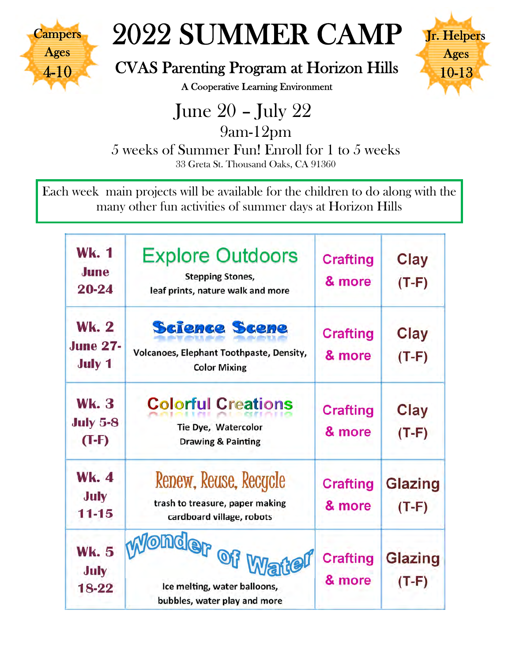

# 2022 SUMMER CAMP

#### CVAS Parenting Program at Horizon Hills



A Cooperative Learning Environment

 June 20 – July 22 9am-12pm 5 weeks of Summer Fun! Enroll for 1 to 5 weeks 33 Greta St. Thousand Oaks, CA 91360

Each week main projects will be available for the children to do along with the many other fun activities of summer days at Horizon Hills

| Wk. 1<br>June<br>20-24                           | <b>Explore Outdoors</b><br><b>Stepping Stones,</b><br>leaf prints, nature walk and more | <b>Crafting</b><br>& more | Clay<br>$(T-F)$           |
|--------------------------------------------------|-----------------------------------------------------------------------------------------|---------------------------|---------------------------|
| <b>Wk. 2</b><br><b>June 27-</b><br><b>July 1</b> | <b>Science Scene</b><br>Volcanoes, Elephant Toothpaste, Density,<br><b>Color Mixing</b> | <b>Crafting</b><br>& more | Clay<br>$(T-F)$           |
| <b>Wk. 3</b><br><b>July 5-8</b><br>$(T-F)$       | <b>Colorful Creations</b><br>Tie Dye, Watercolor<br><b>Drawing &amp; Painting</b>       | <b>Crafting</b><br>& more | Clay<br>$(T-F)$           |
| <b>Wk. 4</b><br>July<br>$11 - 15$                | Renew, Reuse, Recycle<br>trash to treasure, paper making<br>cardboard village, robots   | <b>Crafting</b><br>& more | <b>Glazing</b><br>$(T-F)$ |
| <b>Wk. 5</b><br>July<br>18-22                    | Jonder of War<br>Ice melting, water balloons,<br>bubbles, water play and more           | <b>Crafting</b><br>& more | Glazing<br>$(T-F)$        |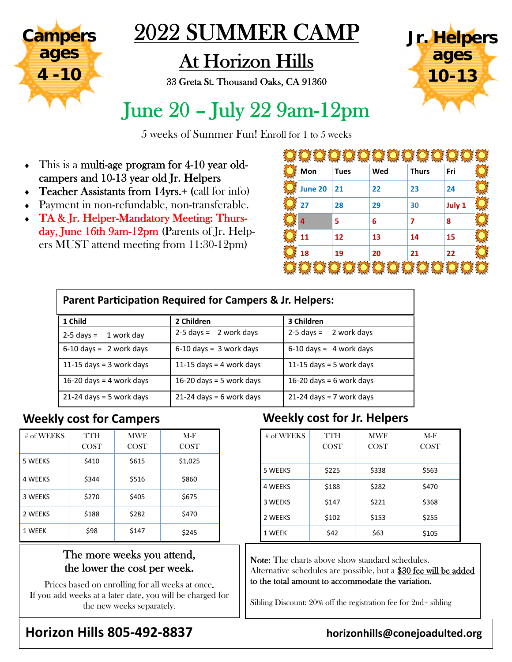

## 2022 SUMMER CAMP

## At Horizon Hills

33 Greta St. Thousand Oaks, CA 91360



## June 20 – July 22 9am-12pm

5 weeks of Summer Fun! Enroll for 1 to 5 weeks

- This is a multi-age program for 4-10 year oldcampers and 10-13 year old Jr. Helpers
- Teacher Assistants from 14yrs.+ (call for info)
- Payment in non-refundable, non-transferable.
- TA & Jr. Helper-Mandatory Meeting: Thursday, June 16th 9am-12pm (Parents of Jr. Helpers MUST attend meeting from 11:30-12pm)

| Mon     | <b>Tues</b> | Wed | <b>Thurs</b> | Fri    |  |
|---------|-------------|-----|--------------|--------|--|
| June 20 | 21          | 22  | 23           | 24     |  |
| 27      | 28          | 29  | 30           | July 1 |  |
| 4       | 5           | 6   | 7            | 8      |  |
| 11      | 12          | 13  | 14           | 15     |  |
| 18      | 19          | 20  | 21           | 22     |  |
|         |             |     |              |        |  |

| Parent Participation Required for Campers & Jr. Helpers: |                            |                             |  |  |  |  |
|----------------------------------------------------------|----------------------------|-----------------------------|--|--|--|--|
| 1 Child                                                  | 2 Children                 | 3 Children                  |  |  |  |  |
| $2-5$ days = 1 work day                                  | $2-5$ days = 2 work days   | $2-5$ days =<br>2 work days |  |  |  |  |
| $6-10$ days = 2 work days                                | $6-10$ days = 3 work days  | $6-10$ days = 4 work days   |  |  |  |  |
| 11-15 days = $3$ work days                               | 11-15 days = 4 work days   | 11-15 days = 5 work days    |  |  |  |  |
| 16-20 days = 4 work days                                 | 16-20 days = 5 work days   | 16-20 days = $6$ work days  |  |  |  |  |
| $21-24$ days = 5 work days                               | $21-24$ days = 6 work days | $21-24$ days = 7 work days  |  |  |  |  |

| # of WEEKS     | TTH<br><b>COST</b> | <b>MWF</b><br><b>COST</b> | $M-F$<br><b>COST</b> |
|----------------|--------------------|---------------------------|----------------------|
| 5 WEEKS        | \$410              | \$615                     | \$1,025              |
| <b>4 WEEKS</b> | \$344              | \$516                     | \$860                |
| 3 WEEKS        | \$270              | \$405                     | \$675                |
| 2 WEEKS        | \$188              | \$282                     | \$470                |
| 1 WEEK         | \$98               | \$147                     | \$245                |

#### The more weeks you attend, the lower the cost per week.

Prices based on enrolling for all weeks at once. If you add weeks at a later date, you will be charged for the new weeks separately.

#### **Weekly cost for Campers Weekly cost for Jr. Helpers**

| # of WEEKS     | TTH<br><b>COST</b> | <b>MWF</b><br><b>COST</b> | $M-F$<br><b>COST</b> |
|----------------|--------------------|---------------------------|----------------------|
| 5 WEEKS        | \$225              | \$338                     | \$563                |
| <b>4 WEEKS</b> | \$188              | \$282                     | \$470                |
| 3 WEEKS        | \$147              | \$221                     | \$368                |
| 2 WEEKS        | \$102              | \$153                     | \$255                |
| 1 WEEK         | \$42               | \$63                      | \$105                |

Note: The charts above show standard schedules. Alternative schedules are possible, but a \$30 fee will be added to the total amount to accommodate the variation.

Sibling Discount: 20% off the registration fee for 2nd+ sibling

#### **Horizon Hills 805‐492‐8837 horizonhills@conejoadulted.org**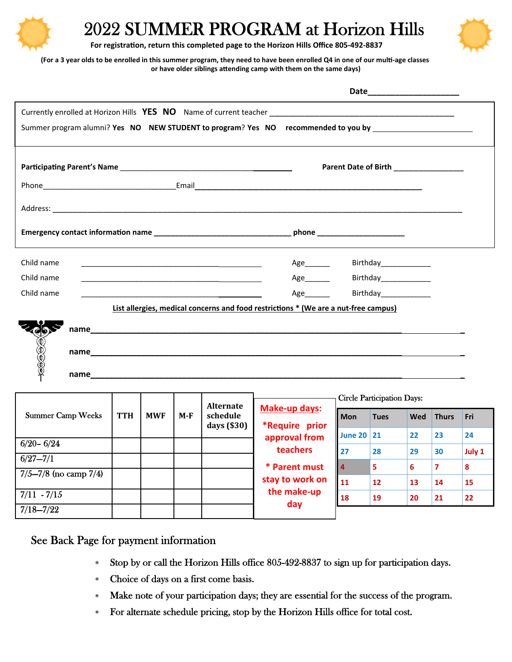

### 2022 SUMMER PROGRAM at Horizon Hills



**For registraƟon, return this completed page to the Horizon Hills Office 805‐492‐8837**

(For a 3 year olds to be enrolled in this summer program, they need to have been enrolled Q4 in one of our multi-age classes **or have older siblings aƩending camp with them on the same days)** 

|                                                                                                                                   | Date________________________          |
|-----------------------------------------------------------------------------------------------------------------------------------|---------------------------------------|
|                                                                                                                                   |                                       |
| Summer program alumni? Yes NO NEW STUDENT to program? Yes NO recommended to you by _________________                              |                                       |
|                                                                                                                                   | Parent Date of Birth ________________ |
|                                                                                                                                   |                                       |
|                                                                                                                                   |                                       |
|                                                                                                                                   |                                       |
| Child name<br><u> 1989 - Johann Barn, mars ann an t-Amhain ann an t-Amhain ann an t-Amhain ann an t-Amhain an t-Amhain an t-A</u> | Age________<br>Birthday______________ |
| Child name<br><u> 2008 - Johann Barn, mars et al. (b. 1989)</u>                                                                   | Age________<br>Birthday______________ |
| Child name                                                                                                                        | Age________<br>Birthday____________   |
| List allergies, medical concerns and food restrictions * (We are a nut-free campus)                                               |                                       |
| 100000                                                                                                                            |                                       |
| name                                                                                                                              |                                       |

|                              |            |            |     |                                               |                                                 | <b>Circle Participation Days:</b> |             |     |              |        |
|------------------------------|------------|------------|-----|-----------------------------------------------|-------------------------------------------------|-----------------------------------|-------------|-----|--------------|--------|
| <b>Summer Camp Weeks</b>     | <b>TTH</b> | <b>MWF</b> | M-F | <b>Alternate</b><br>schedule<br>days $(\$30)$ | <b>Make-up days:</b><br>*Require prior          | <b>Mon</b>                        | <b>Tues</b> | Wed | <b>Thurs</b> | Fri    |
| $6/20 - 6/24$                |            |            |     |                                               | approval from                                   | June 20 21                        |             | 22  | 23           | 24     |
| $6/27 - 7/1$                 |            |            |     |                                               | teachers                                        | 27                                | 28          | 29  | 30           | July 1 |
| $7/5 - 7/8$ (no camp $7/4$ ) |            |            |     |                                               | * Parent must<br>stay to work on<br>the make-up | <b>14</b>                         | 5           | 6   | 7            | 8      |
|                              |            |            |     |                                               |                                                 | <b>11</b>                         | 12          | 13  | 14           | 15     |
| $7/11 - 7/15$                |            |            |     |                                               | day                                             | 18                                | 19          | 20  | 21           | 22     |
| $7/18 - 7/22$                |            |            |     |                                               |                                                 |                                   |             |     |              |        |

See Back Page for payment information

- Stop by or call the Horizon Hills office 805-492-8837 to sign up for participation days.
- Choice of days on a first come basis.
- Make note of your participation days; they are essential for the success of the program.
- For alternate schedule pricing, stop by the Horizon Hills office for total cost.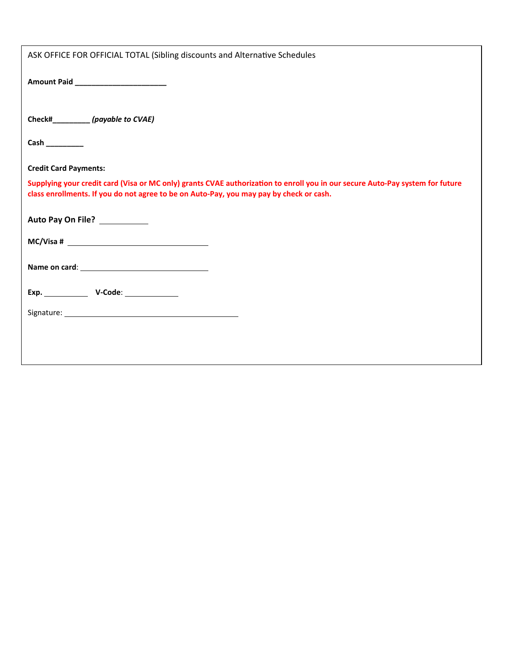| ASK OFFICE FOR OFFICIAL TOTAL (Sibling discounts and Alternative Schedules                                                                                                                                               |
|--------------------------------------------------------------------------------------------------------------------------------------------------------------------------------------------------------------------------|
| Amount Paid ________________________                                                                                                                                                                                     |
| Check#_________(payable to CVAE)                                                                                                                                                                                         |
| $Cash$ <sub>__________</sub>                                                                                                                                                                                             |
| <b>Credit Card Payments:</b>                                                                                                                                                                                             |
| Supplying your credit card (Visa or MC only) grants CVAE authorization to enroll you in our secure Auto-Pay system for future<br>class enrollments. If you do not agree to be on Auto-Pay, you may pay by check or cash. |
| Auto Pay On File? ___________                                                                                                                                                                                            |
|                                                                                                                                                                                                                          |
|                                                                                                                                                                                                                          |
|                                                                                                                                                                                                                          |
|                                                                                                                                                                                                                          |
|                                                                                                                                                                                                                          |
|                                                                                                                                                                                                                          |
|                                                                                                                                                                                                                          |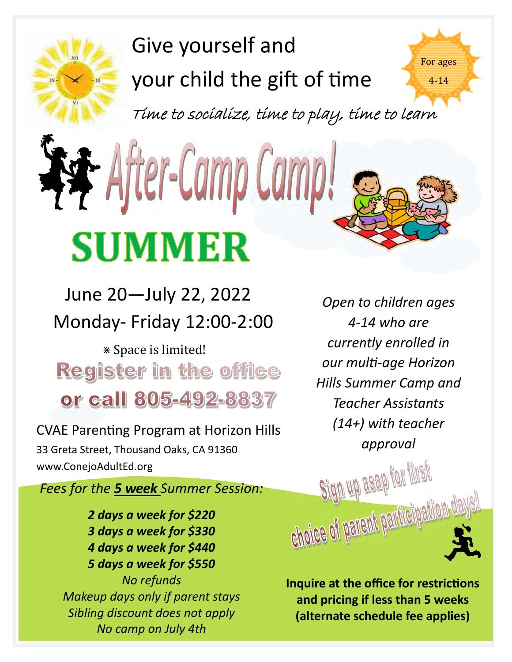# Give yourself and your child the gift of time

Time to socialize, time to play, time to learn

# fter-Camp Cam **SUMMER**

Monday‐ Friday 12:00‐2:00 June 20—July 22, 2022

⋇ Space is limited! **Register in the office** or call 805-492-8837

CVAE Parenting Program at Horizon Hills 33 Greta Street, Thousand Oaks, CA 91360 www.ConejoAdultEd.org

*Fees for the 5 week Summer Session:* 

*2 days a week for \$220 3 days a week for \$330 4 days a week for \$440 5 days a week for \$550 No refunds Makeup days only if parent stays Sibling discount does not apply No camp on July 4th* 

*Open to children ages 4‐14 who are currently enrolled in our mulƟ‐age Horizon Hills Summer Camp and Teacher Assistants (14+) with teacher approval*

For ages

4-14

**Inquire at the office for restrictions and pricing if less than 5 weeks (alternate schedule fee applies)** 

Sign up asap for filest

Choice of benent baygeiberge